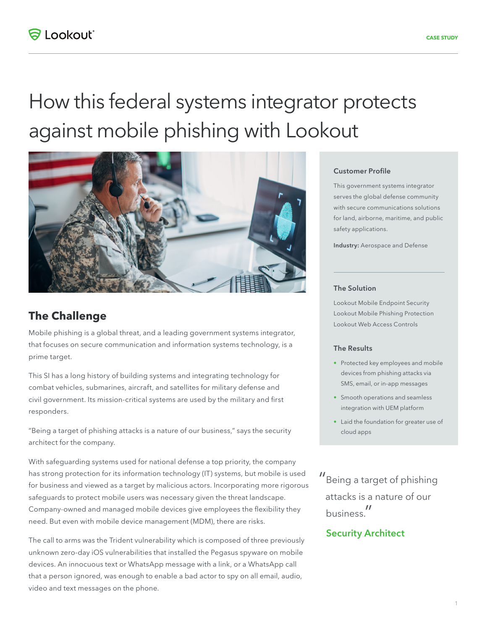# How this federal systems integrator protects against mobile phishing with Lookout



# **The Challenge**

Mobile phishing is a global threat, and a leading government systems integrator, that focuses on secure communication and information systems technology, is a prime target.

This SI has a long history of building systems and integrating technology for combat vehicles, submarines, aircraft, and satellites for military defense and civil government. Its mission-critical systems are used by the military and first responders.

"Being a target of phishing attacks is a nature of our business," says the security architect for the company.

With safeguarding systems used for national defense a top priority, the company has strong protection for its information technology (IT) systems, but mobile is used for business and viewed as a target by malicious actors. Incorporating more rigorous safeguards to protect mobile users was necessary given the threat landscape. Company-owned and managed mobile devices give employees the flexibility they need. But even with mobile device management (MDM), there are risks.

The call to arms was the Trident vulnerability which is composed of three previously unknown zero-day iOS vulnerabilities that installed the Pegasus spyware on mobile devices. An innocuous text or WhatsApp message with a link, or a WhatsApp call that a person ignored, was enough to enable a bad actor to spy on all email, audio, video and text messages on the phone.

#### Customer Profile

This government systems integrator serves the global defense community with secure communications solutions for land, airborne, maritime, and public safety applications.

Industry: Aerospace and Defense

#### The Solution

Lookout Mobile Endpoint Security Lookout Mobile Phishing Protection Lookout Web Access Controls

### The Results

- Protected key employees and mobile devices from phishing attacks via SMS, email, or in-app messages
- Smooth operations and seamless integration with UEM platform
- Laid the foundation for greater use of cloud apps
- "Being a target of phishing attacks is a nature of our business."

## Security Architect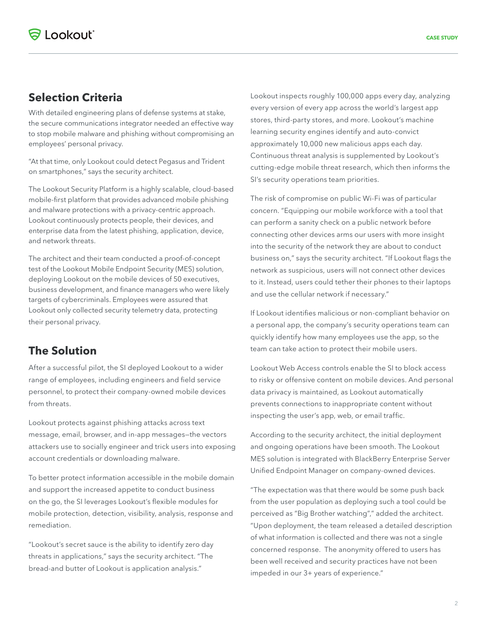## **Selection Criteria**

With detailed engineering plans of defense systems at stake, the secure communications integrator needed an effective way to stop mobile malware and phishing without compromising an employees' personal privacy.

"At that time, only Lookout could detect Pegasus and Trident on smartphones," says the security architect.

The Lookout Security Platform is a highly scalable, cloud-based mobile-first platform that provides advanced mobile phishing and malware protections with a privacy-centric approach. Lookout continuously protects people, their devices, and enterprise data from the latest phishing, application, device, and network threats.

The architect and their team conducted a proof-of-concept test of the Lookout Mobile Endpoint Security (MES) solution, deploying Lookout on the mobile devices of 50 executives, business development, and finance managers who were likely targets of cybercriminals. Employees were assured that Lookout only collected security telemetry data, protecting their personal privacy.

# **The Solution**

After a successful pilot, the SI deployed Lookout to a wider range of employees, including engineers and field service personnel, to protect their company-owned mobile devices from threats.

Lookout protects against phishing attacks across text message, email, browser, and in-app messages—the vectors attackers use to socially engineer and trick users into exposing account credentials or downloading malware.

To better protect information accessible in the mobile domain and support the increased appetite to conduct business on the go, the SI leverages Lookout's flexible modules for mobile protection, detection, visibility, analysis, response and remediation.

"Lookout's secret sauce is the ability to identify zero day threats in applications," says the security architect. "The bread-and butter of Lookout is application analysis."

Lookout inspects roughly 100,000 apps every day, analyzing every version of every app across the world's largest app stores, third-party stores, and more. Lookout's machine learning security engines identify and auto-convict approximately 10,000 new malicious apps each day. Continuous threat analysis is supplemented by Lookout's cutting-edge mobile threat research, which then informs the SI's security operations team priorities.

The risk of compromise on public Wi-Fi was of particular concern. "Equipping our mobile workforce with a tool that can perform a sanity check on a public network before connecting other devices arms our users with more insight into the security of the network they are about to conduct business on," says the security architect. "If Lookout flags the network as suspicious, users will not connect other devices to it. Instead, users could tether their phones to their laptops and use the cellular network if necessary."

If Lookout identifies malicious or non-compliant behavior on a personal app, the company's security operations team can quickly identify how many employees use the app, so the team can take action to protect their mobile users.

Lookout Web Access controls enable the SI to block access to risky or offensive content on mobile devices. And personal data privacy is maintained, as Lookout automatically prevents connections to inappropriate content without inspecting the user's app, web, or email traffic.

According to the security architect, the initial deployment and ongoing operations have been smooth. The Lookout MES solution is integrated with BlackBerry Enterprise Server Unified Endpoint Manager on company-owned devices.

"The expectation was that there would be some push back from the user population as deploying such a tool could be perceived as "Big Brother watching"," added the architect. "Upon deployment, the team released a detailed description of what information is collected and there was not a single concerned response. The anonymity offered to users has been well received and security practices have not been impeded in our 3+ years of experience."